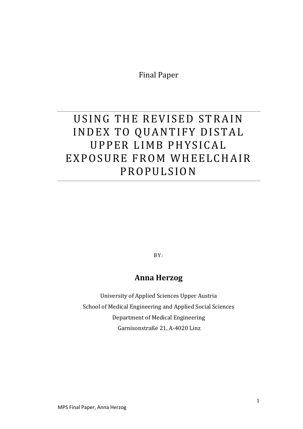Final Paper

# USING THE REVISED STRAIN INDEX TO QUANTIFY DISTAL UPPER LIMB PHYSICAL EXPOSURE FROM WHEELCHAIR PROPULSION

BY:

## **Anna Herzog**

University of Applied Sciences Upper Austria School of Medical Engineering and Applied Social Sciences Department of Medical Engineering Garnisonstraße 21, A-4020 Linz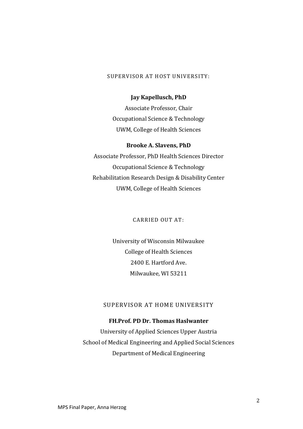## SUPERVISOR AT HOST UNIVERSITY:

#### **Jay Kapellusch, PhD**

Associate Professor, Chair Occupational Science & Technology UWM, College of Health Sciences

#### **Brooke A. Slavens, PhD**

Associate Professor, PhD Health Sciences Director Occupational Science & Technology Rehabilitation Research Design & Disability Center UWM, College of Health Sciences

CARRIED OUT AT:

University of Wisconsin Milwaukee College of Health Sciences 2400 E. Hartford Ave. Milwaukee, WI 53211

## SUPERVISOR AT HOME UNIVERSITY

## **FH.Prof. PD Dr. Thomas Haslwanter**

University of Applied Sciences Upper Austria School of Medical Engineering and Applied Social Sciences Department of Medical Engineering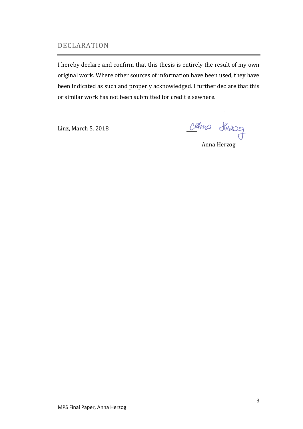## <span id="page-2-0"></span>DECLARATION

I hereby declare and confirm that this thesis is entirely the result of my own original work. Where other sources of information have been used, they have been indicated as such and properly acknowledged. I further declare that this or similar work has not been submitted for credit elsewhere.

Linz, March 5, 2018

Anna Herzog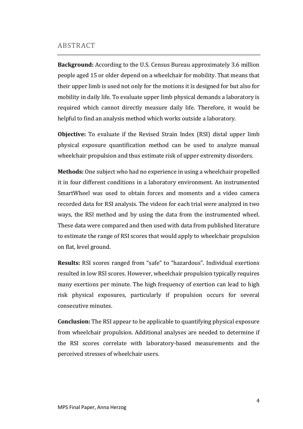## <span id="page-3-0"></span>ABSTRACT

**Background:** According to the U.S. Census Bureau approximately 3.6 million people aged 15 or older depend on a wheelchair for mobility. That means that their upper limb is used not only for the motions it is designed for but also for mobility in daily life. To evaluate upper limb physical demands a laboratory is required which cannot directly measure daily life. Therefore, it would be helpful to find an analysis method which works outside a laboratory.

**Objective:** To evaluate if the Revised Strain Index (RSI) distal upper limb physical exposure quantification method can be used to analyze manual wheelchair propulsion and thus estimate risk of upper extremity disorders.

**Methods:** One subject who had no experience in using a wheelchair propelled it in four different conditions in a laboratory environment. An instrumented SmartWheel was used to obtain forces and moments and a video camera recorded data for RSI analysis. The videos for each trial were analyzed in two ways, the RSI method and by using the data from the instrumented wheel. These data were compared and then used with data from published literature to estimate the range of RSI scores that would apply to wheelchair propulsion on flat, level ground.

**Results:** RSI scores ranged from "safe" to "hazardous". Individual exertions resulted in low RSI scores. However, wheelchair propulsion typically requires many exertions per minute. The high frequency of exertion can lead to high risk physical exposures, particularly if propulsion occurs for several consecutive minutes.

**Conclusion:** The RSI appear to be applicable to quantifying physical exposure from wheelchair propulsion. Additional analyses are needed to determine if the RSI scores correlate with laboratory-based measurements and the perceived stresses of wheelchair users.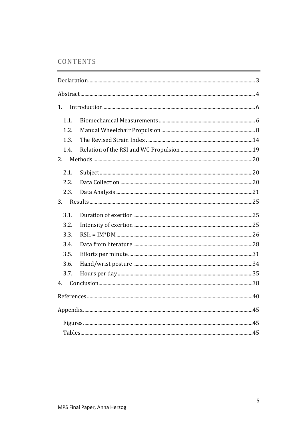## CONTENTS

| 1.   |  |
|------|--|
| 1.1. |  |
| 1.2. |  |
| 1.3. |  |
| 1.4. |  |
| 2.   |  |
| 2.1. |  |
| 2.2. |  |
| 2.3. |  |
| 3.   |  |
| 3.1. |  |
| 3.2. |  |
| 3.3. |  |
| 3.4. |  |
| 3.5. |  |
| 3.6. |  |
| 3.7. |  |
| 4.   |  |
|      |  |
|      |  |
|      |  |
|      |  |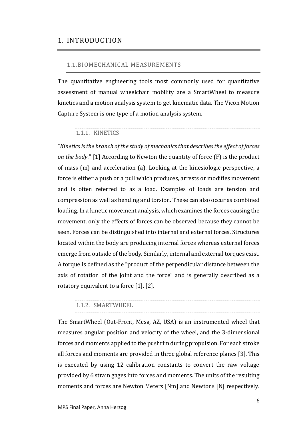## <span id="page-5-0"></span>1. INTRODUCTION

## <span id="page-5-1"></span>1.1.BIOMECHANICAL MEASUREMENTS

The quantitative engineering tools most commonly used for quantitative assessment of manual wheelchair mobility are a SmartWheel to measure kinetics and a motion analysis system to get kinematic data. The Vicon Motion Capture System is one type of a motion analysis system.

## 1.1.1. KINETICS

"*Kinetics is the branch of the study of mechanics that describes the effect of forces on the body*." [1] According to Newton the quantity of force (F) is the product of mass (m) and acceleration (a). Looking at the kinesiologic perspective, a force is either a push or a pull which produces, arrests or modifies movement and is often referred to as a load. Examples of loads are tension and compression as well as bending and torsion. These can also occur as combined loading. In a kinetic movement analysis, which examines the forces causing the movement, only the effects of forces can be observed because they cannot be seen. Forces can be distinguished into internal and external forces. Structures located within the body are producing internal forces whereas external forces emerge from outside of the body. Similarly, internal and external torques exist. A torque is defined as the "product of the perpendicular distance between the axis of rotation of the joint and the force" and is generally described as a rotatory equivalent to a force [1], [2].

## 1.1.2. SMARTWHEEL

The SmartWheel (Out-Front, Mesa, AZ, USA) is an instrumented wheel that measures angular position and velocity of the wheel, and the 3-dimensional forces and moments applied to the pushrim during propulsion. For each stroke all forces and moments are provided in three global reference planes [3]. This is executed by using 12 calibration constants to convert the raw voltage provided by 6 strain gages into forces and moments. The units of the resulting moments and forces are Newton Meters [Nm] and Newtons [N] respectively.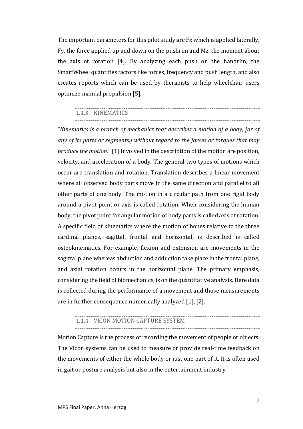The important parameters for this pilot study are Fx which is applied laterally, Fy, the force applied up and down on the pushrim and Mz, the moment about the axis of rotation [4]. By analyzing each push on the handrim, the SmartWheel quantifies factors like forces, frequency and push length, and also creates reports which can be used by therapists to help wheelchair users optimize manual propulsion [5].

## 1.1.3. KINEMATICS

"*Kinematics is a branch of mechanics that describes a motion of a body, [or of any of its parts or segments,] without regard to the forces or torques that may produce the motion*." [1] Involved in the description of the motion are position, velocity, and acceleration of a body. The general two types of motions which occur are translation and rotation. Translation describes a linear movement where all observed body parts move in the same direction and parallel to all other parts of one body. The motion in a circular path from one rigid body around a pivot point or axis is called rotation. When considering the human body, the pivot point for angular motion of body parts is called axis of rotation. A specific field of kinematics where the motion of bones relative to the three cardinal planes, sagittal, frontal and horizontal, is described is called osteokinematics. For example, flexion and extension are movements in the sagittal plane whereas abduction and adduction take place in the frontal plane, and axial rotation occurs in the horizontal plane. The primary emphasis, considering the field of biomechanics, is on the quantitative analysis. Here data is collected during the performance of a movement and those measurements are in further consequence numerically analyzed [1], [2].

### 1.1.4. VICON MOTION CAPTURE SYSTEM

Motion Capture is the process of recording the movement of people or objects. The Vicon systems can be used to measure or provide real-time feedback on the movements of either the whole body or just one part of it. It is often used in gait or posture analysis but also in the entertainment industry.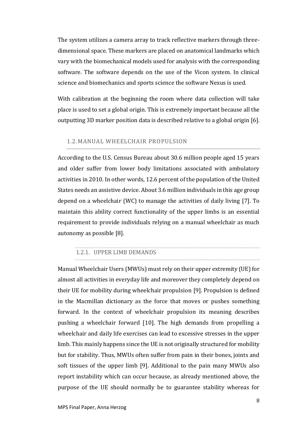The system utilizes a camera array to track reflective markers through threedimensional space. These markers are placed on anatomical landmarks which vary with the biomechanical models used for analysis with the corresponding software. The software depends on the use of the Vicon system. In clinical science and biomechanics and sports science the software Nexus is used.

With calibration at the beginning the room where data collection will take place is used to set a global origin. This is extremely important because all the outputting 3D marker position data is described relative to a global origin [6].

#### <span id="page-7-0"></span>1.2.MANUAL WHEELCHAIR PROPULSION

According to the U.S. Census Bureau about 30.6 million people aged 15 years and older suffer from lower body limitations associated with ambulatory activities in 2010. In other words, 12.6 percent of the population of the United States needs an assistive device. About 3.6 million individuals in this age group depend on a wheelchair (WC) to manage the activities of daily living [7]. To maintain this ability correct functionality of the upper limbs is an essential requirement to provide individuals relying on a manual wheelchair as much autonomy as possible [8].

#### <span id="page-7-1"></span>1.2.1. UPPER LIMB DEMANDS

Manual Wheelchair Users (MWUs) must rely on their upper extremity (UE) for almost all activities in everyday life and moreover they completely depend on their UE for mobility during wheelchair propulsion [9]. Propulsion is defined in the Macmillan dictionary as the force that moves or pushes something forward. In the context of wheelchair propulsion its meaning describes pushing a wheelchair forward [10]. The high demands from propelling a wheelchair and daily life exercises can lead to excessive stresses in the upper limb. This mainly happens since the UE is not originally structured for mobility but for stability. Thus, MWUs often suffer from pain in their bones, joints and soft tissues of the upper limb [9]. Additional to the pain many MWUs also report instability which can occur because, as already mentioned above, the purpose of the UE should normally be to guarantee stability whereas for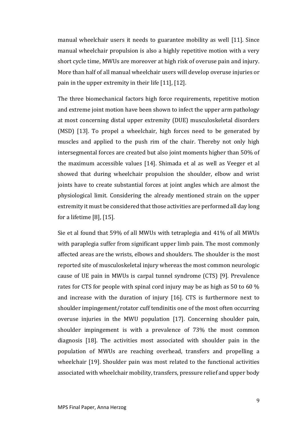manual wheelchair users it needs to guarantee mobility as well [11]. Since manual wheelchair propulsion is also a highly repetitive motion with a very short cycle time, MWUs are moreover at high risk of overuse pain and injury. More than half of all manual wheelchair users will develop overuse injuries or pain in the upper extremity in their life [11], [12].

The three biomechanical factors high force requirements, repetitive motion and extreme joint motion have been shown to infect the upper arm pathology at most concerning distal upper extremity (DUE) musculoskeletal disorders (MSD) [13]. To propel a wheelchair, high forces need to be generated by muscles and applied to the push rim of the chair. Thereby not only high intersegmental forces are created but also joint moments higher than 50% of the maximum accessible values [14]. Shimada et al as well as Veeger et al showed that during wheelchair propulsion the shoulder, elbow and wrist joints have to create substantial forces at joint angles which are almost the physiological limit. Considering the already mentioned strain on the upper extremity it must be considered that those activities are performed all day long for a lifetime [8], [15].

Sie et al found that 59% of all MWUs with tetraplegia and 41% of all MWUs with paraplegia suffer from significant upper limb pain. The most commonly affected areas are the wrists, elbows and shoulders. The shoulder is the most reported site of musculoskeletal injury whereas the most common neurologic cause of UE pain in MWUs is carpal tunnel syndrome (CTS) [9]. Prevalence rates for CTS for people with spinal cord injury may be as high as 50 to 60 % and increase with the duration of injury [16]. CTS is furthermore next to shoulder impingement/rotator cuff tendinitis one of the most often occurring overuse injuries in the MWU population [17]. Concerning shoulder pain, shoulder impingement is with a prevalence of 73% the most common diagnosis [18]. The activities most associated with shoulder pain in the population of MWUs are reaching overhead, transfers and propelling a wheelchair [19]. Shoulder pain was most related to the functional activities associated with wheelchair mobility, transfers, pressure relief and upper body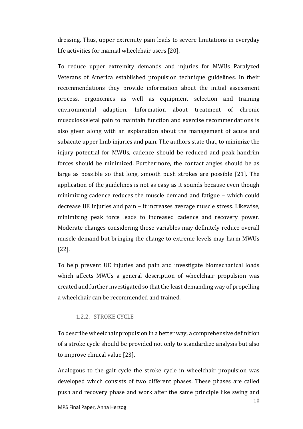dressing. Thus, upper extremity pain leads to severe limitations in everyday life activities for manual wheelchair users [20].

To reduce upper extremity demands and injuries for MWUs Paralyzed Veterans of America established propulsion technique guidelines. In their recommendations they provide information about the initial assessment process, ergonomics as well as equipment selection and training environmental adaption. Information about treatment of chronic musculoskeletal pain to maintain function and exercise recommendations is also given along with an explanation about the management of acute and subacute upper limb injuries and pain. The authors state that, to minimize the injury potential for MWUs, cadence should be reduced and peak handrim forces should be minimized. Furthermore, the contact angles should be as large as possible so that long, smooth push strokes are possible [21]. The application of the guidelines is not as easy as it sounds because even though minimizing cadence reduces the muscle demand and fatigue – which could decrease UE injuries and pain – it increases average muscle stress. Likewise, minimizing peak force leads to increased cadence and recovery power. Moderate changes considering those variables may definitely reduce overall muscle demand but bringing the change to extreme levels may harm MWUs [22].

To help prevent UE injuries and pain and investigate biomechanical loads which affects MWUs a general description of wheelchair propulsion was created and further investigated so that the least demanding way of propelling a wheelchair can be recommended and trained.

## 1.2.2. STROKE CYCLE

To describe wheelchair propulsion in a better way, a comprehensive definition of a stroke cycle should be provided not only to standardize analysis but also to improve clinical value [23].

Analogous to the gait cycle the stroke cycle in wheelchair propulsion was developed which consists of two different phases. These phases are called push and recovery phase and work after the same principle like swing and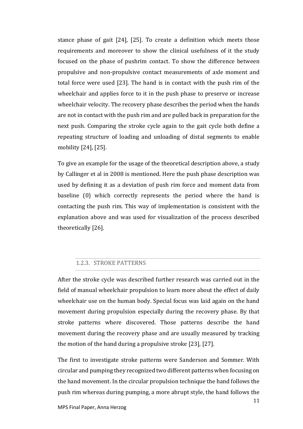stance phase of gait [24], [25]. To create a definition which meets those requirements and moreover to show the clinical usefulness of it the study focused on the phase of pushrim contact. To show the difference between propulsive and non-propulsive contact measurements of axle moment and total force were used [23]. The hand is in contact with the push rim of the wheelchair and applies force to it in the push phase to preserve or increase wheelchair velocity. The recovery phase describes the period when the hands are not in contact with the push rim and are pulled back in preparation for the next push. Comparing the stroke cycle again to the gait cycle both define a repeating structure of loading and unloading of distal segments to enable mobility [24], [25].

To give an example for the usage of the theoretical description above, a study by Callinger et al in 2008 is mentioned. Here the push phase description was used by defining it as a deviation of push rim force and moment data from baseline (0) which correctly represents the period where the hand is contacting the push rim. This way of implementation is consistent with the explanation above and was used for visualization of the process described theoretically [26].

#### 1.2.3. STROKE PATTERNS

After the stroke cycle was described further research was carried out in the field of manual wheelchair propulsion to learn more about the effect of daily wheelchair use on the human body. Special focus was laid again on the hand movement during propulsion especially during the recovery phase. By that stroke patterns where discovered. Those patterns describe the hand movement during the recovery phase and are usually measured by tracking the motion of the hand during a propulsive stroke [23], [27].

The first to investigate stroke patterns were Sanderson and Sommer. With circular and pumping they recognized two different patterns when focusing on the hand movement. In the circular propulsion technique the hand follows the push rim whereas during pumping, a more abrupt style, the hand follows the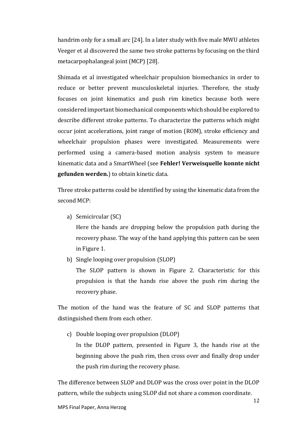handrim only for a small arc [24]. In a later study with five male MWU athletes Veeger et al discovered the same two stroke patterns by focusing on the third metacarpophalangeal joint (MCP) [28].

Shimada et al investigated wheelchair propulsion biomechanics in order to reduce or better prevent musculoskeletal injuries. Therefore, the study focuses on joint kinematics and push rim kinetics because both were considered important biomechanical components which should be explored to describe different stroke patterns. To characterize the patterns which might occur joint accelerations, joint range of motion (ROM), stroke efficiency and wheelchair propulsion phases were investigated. Measurements were performed using a camera-based motion analysis system to measure kinematic data and a SmartWheel (see **Fehler! Verweisquelle konnte nicht gefunden werden.**) to obtain kinetic data.

Three stroke patterns could be identified by using the kinematic data from the second MCP:

a) Semicircular (SC)

Here the hands are dropping below the propulsion path during the recovery phase. The way of the hand applying this pattern can be seen in [Figure 1.](#page-12-0)

b) Single looping over propulsion (SLOP)

The SLOP pattern is shown in [Figure 2.](#page-12-1) Characteristic for this propulsion is that the hands rise above the push rim during the recovery phase.

The motion of the hand was the feature of SC and SLOP patterns that distinguished them from each other.

c) Double looping over propulsion (DLOP) In the DLOP pattern, presented in [Figure 3,](#page-12-2) the hands rise at the beginning above the push rim, then cross over and finally drop under the push rim during the recovery phase.

The difference between SLOP and DLOP was the cross over point in the DLOP pattern, while the subjects using SLOP did not share a common coordinate.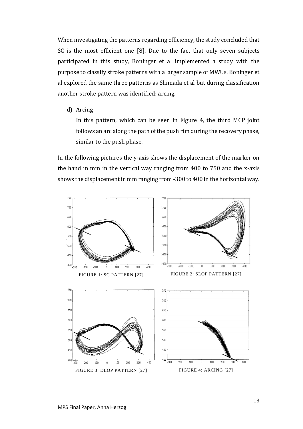When investigating the patterns regarding efficiency, the study concluded that SC is the most efficient one [8]. Due to the fact that only seven subjects participated in this study, Boninger et al implemented a study with the purpose to classify stroke patterns with a larger sample of MWUs. Boninger et al explored the same three patterns as Shimada et al but during classification another stroke pattern was identified: arcing.

d) Arcing

In this pattern, which can be seen in [Figure 4,](#page-12-3) the third MCP joint follows an arc along the path of the push rim during the recovery phase, similar to the push phase.

In the following pictures the y-axis shows the displacement of the marker on the hand in mm in the vertical way ranging from 400 to 750 and the x-axis shows the displacement in mm ranging from -300 to 400 in the horizontal way.

<span id="page-12-3"></span><span id="page-12-2"></span><span id="page-12-1"></span><span id="page-12-0"></span>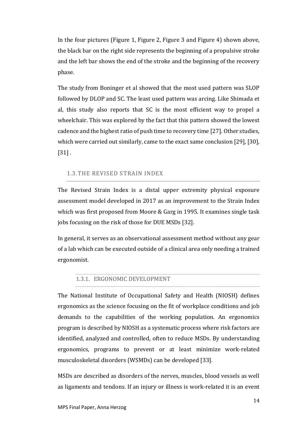In the four pictures [\(Figure 1,](#page-12-0) [Figure 2,](#page-12-1) [Figure 3](#page-12-2) and [Figure 4\)](#page-12-3) shown above, the black bar on the right side represents the beginning of a propulsive stroke and the left bar shows the end of the stroke and the beginning of the recovery phase.

The study from Boninger et al showed that the most used pattern was SLOP followed by DLOP and SC. The least used pattern was arcing. Like Shimada et al, this study also reports that SC is the most efficient way to propel a wheelchair. This was explored by the fact that this pattern showed the lowest cadence and the highest ratio of push time to recovery time [27]. Other studies, which were carried out similarly, came to the exact same conclusion [29], [30],  $[31]$ .

## <span id="page-13-0"></span>1.3.THE REVISED STRAIN INDEX

The Revised Strain Index is a distal upper extremity physical exposure assessment model developed in 2017 as an improvement to the Strain Index which was first proposed from Moore & Garg in 1995. It examines single task jobs focusing on the risk of those for DUE MSDs [32].

In general, it serves as an observational assessment method without any gear of a lab which can be executed outside of a clinical area only needing a trained ergonomist.

#### 1.3.1. ERGONOMIC DEVELOPMENT

The National Institute of Occupational Safety and Health (NIOSH) defines ergonomics as the science focusing on the fit of workplace conditions and job demands to the capabilities of the working population. An ergonomics program is described by NIOSH as a systematic process where risk factors are identified, analyzed and controlled, often to reduce MSDs. By understanding ergonomics, programs to prevent or at least minimize work-related musculoskeletal disorders (WSMDs) can be developed [33].

MSDs are described as disorders of the nerves, muscles, blood vessels as well as ligaments and tendons. If an injury or illness is work-related it is an event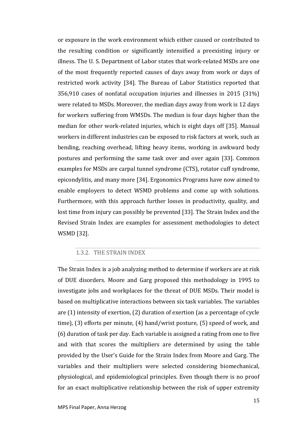or exposure in the work environment which either caused or contributed to the resulting condition or significantly intensified a preexisting injury or illness. The U. S. Department of Labor states that work-related MSDs are one of the most frequently reported causes of days away from work or days of restricted work activity [34]. The Bureau of Labor Statistics reported that 356,910 cases of nonfatal occupation injuries and illnesses in 2015 (31%) were related to MSDs. Moreover, the median days away from work is 12 days for workers suffering from WMSDs. The median is four days higher than the median for other work-related injuries, which is eight days off [35]. Manual workers in different industries can be exposed to risk factors at work, such as bending, reaching overhead, lifting heavy items, working in awkward body postures and performing the same task over and over again [33]. Common examples for MSDs are carpal tunnel syndrome (CTS), rotator cuff syndrome, epicondylitis, and many more [34]. Ergonomics Programs have now aimed to enable employers to detect WSMD problems and come up with solutions. Furthermore, with this approach further losses in productivity, quality, and lost time from injury can possibly be prevented [33]. The Strain Index and the Revised Strain Index are examples for assessment methodologies to detect WSMD [32].

#### 1.3.2. THE STRAIN INDEX

The Strain Index is a job analyzing method to determine if workers are at risk of DUE disorders. Moore and Garg proposed this methodology in 1995 to investigate jobs and workplaces for the threat of DUE MSDs. Their model is based on multiplicative interactions between six task variables. The variables are (1) intensity of exertion, (2) duration of exertion (as a percentage of cycle time), (3) efforts per minute, (4) hand/wrist posture, (5) speed of work, and (6) duration of task per day. Each variable is assigned a rating from one to five and with that scores the multipliers are determined by using the table provided by the User's Guide for the Strain Index from Moore and Garg. The variables and their multipliers were selected considering biomechanical, physiological, and epidemiological principles. Even though there is no proof for an exact multiplicative relationship between the risk of upper extremity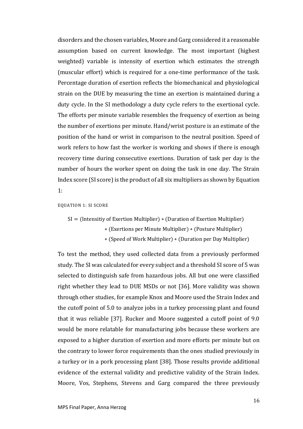disorders and the chosen variables, Moore and Garg considered it a reasonable assumption based on current knowledge. The most important (highest weighted) variable is intensity of exertion which estimates the strength (muscular effort) which is required for a one-time performance of the task. Percentage duration of exertion reflects the biomechanical and physiological strain on the DUE by measuring the time an exertion is maintained during a duty cycle. In the SI methodology a duty cycle refers to the exertional cycle. The efforts per minute variable resembles the frequency of exertion as being the number of exertions per minute. Hand/wrist posture is an estimate of the position of the hand or wrist in comparison to the neutral position. Speed of work refers to how fast the worker is working and shows if there is enough recovery time during consecutive exertions. Duration of task per day is the number of hours the worker spent on doing the task in one day. The Strain Index score (SI score) is the product of all six multipliers as shown by [Equation](#page-15-0)  [1:](#page-15-0)

- <span id="page-15-0"></span>EQUATION 1: SI SCORE
	- SI = (Intensitiy of Exertion Multiplier) ∗ (Duration of Exertion Multiplier) ∗ (Exertions per Minute Multiplier) ∗ (Posture Multiplier)
		- ∗ (Speed of Work Multiplier) ∗ (Duration per Day Multiplier)

To test the method, they used collected data from a previously performed study. The SI was calculated for every subject and a threshold SI score of 5 was selected to distinguish safe from hazardous jobs. All but one were classified right whether they lead to DUE MSDs or not [36]. More validity was shown through other studies, for example Knox and Moore used the Strain Index and the cutoff point of 5.0 to analyze jobs in a turkey processing plant and found that it was reliable [37]. Rucker and Moore suggested a cutoff point of 9.0 would be more relatable for manufacturing jobs because these workers are exposed to a higher duration of exertion and more efforts per minute but on the contrary to lower force requirements than the ones studied previously in a turkey or in a pork processing plant [38]. Those results provide additional evidence of the external validity and predictive validity of the Strain Index. Moore, Vos, Stephens, Stevens and Garg compared the three previously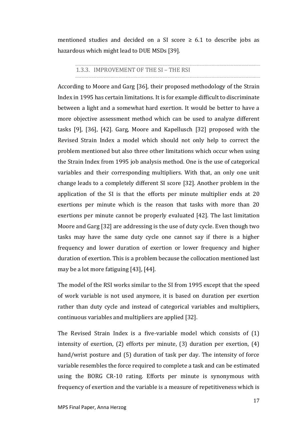mentioned studies and decided on a SI score  $\geq 6.1$  to describe jobs as hazardous which might lead to DUE MSDs [39].

## 1.3.3. IMPROVEMENT OF THE SI – THE RSI

According to Moore and Garg [36], their proposed methodology of the Strain Index in 1995 has certain limitations. It is for example difficult to discriminate between a light and a somewhat hard exertion. It would be better to have a more objective assessment method which can be used to analyze different tasks [9], [36], [42]. Garg, Moore and Kapellusch [32] proposed with the Revised Strain Index a model which should not only help to correct the problem mentioned but also three other limitations which occur when using the Strain Index from 1995 job analysis method. One is the use of categorical variables and their corresponding multipliers. With that, an only one unit change leads to a completely different SI score [32]. Another problem in the application of the SI is that the efforts per minute multiplier ends at 20 exertions per minute which is the reason that tasks with more than 20 exertions per minute cannot be properly evaluated [42]. The last limitation Moore and Garg [32] are addressing is the use of duty cycle. Even though two tasks may have the same duty cycle one cannot say if there is a higher frequency and lower duration of exertion or lower frequency and higher duration of exertion. This is a problem because the collocation mentioned last may be a lot more fatiguing [43], [44].

The model of the RSI works similar to the SI from 1995 except that the speed of work variable is not used anymore, it is based on duration per exertion rather than duty cycle and instead of categorical variables and multipliers, continuous variables and multipliers are applied [32].

The Revised Strain Index is a five-variable model which consists of (1) intensity of exertion, (2) efforts per minute, (3) duration per exertion, (4) hand/wrist posture and (5) duration of task per day. The intensity of force variable resembles the force required to complete a task and can be estimated using the BORG CR-10 rating. Efforts per minute is synonymous with frequency of exertion and the variable is a measure of repetitiveness which is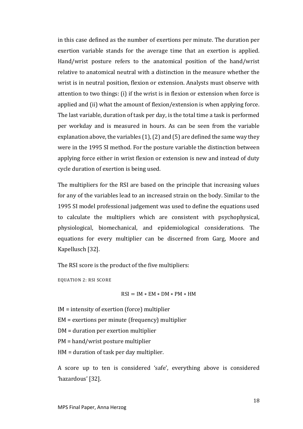in this case defined as the number of exertions per minute. The duration per exertion variable stands for the average time that an exertion is applied. Hand/wrist posture refers to the anatomical position of the hand/wrist relative to anatomical neutral with a distinction in the measure whether the wrist is in neutral position, flexion or extension. Analysts must observe with attention to two things: (i) if the wrist is in flexion or extension when force is applied and (ii) what the amount of flexion/extension is when applying force. The last variable, duration of task per day, is the total time a task is performed per workday and is measured in hours. As can be seen from the variable explanation above, the variables (1), (2) and (5) are defined the same way they were in the 1995 SI method. For the posture variable the distinction between applying force either in wrist flexion or extension is new and instead of duty cycle duration of exertion is being used.

The multipliers for the RSI are based on the principle that increasing values for any of the variables lead to an increased strain on the body. Similar to the 1995 SI model professional judgement was used to define the equations used to calculate the multipliers which are consistent with psychophysical, physiological, biomechanical, and epidemiological considerations. The equations for every multiplier can be discerned from Garg, Moore and Kapellusch [32].

The RSI score is the product of the five multipliers:

EQUATION 2: RSI SCORE

$$
RSI = IM * EM * DM * PM * HM
$$

IM = intensity of exertion (force) multiplier

EM = exertions per minute (frequency) multiplier

DM = duration per exertion multiplier

PM = hand/wrist posture multiplier

HM = duration of task per day multiplier.

A score up to ten is considered 'safe', everything above is considered 'hazardous' [32].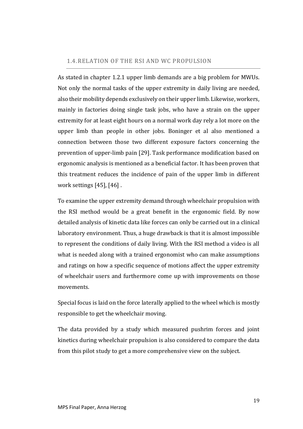### <span id="page-18-0"></span>1.4.RELATION OF THE RSI AND WC PROPULSION

As stated in chapter [1.2.1](#page-7-1) upper limb demands are a big problem for MWUs. Not only the normal tasks of the upper extremity in daily living are needed, also their mobility depends exclusively on their upper limb. Likewise, workers, mainly in factories doing single task jobs, who have a strain on the upper extremity for at least eight hours on a normal work day rely a lot more on the upper limb than people in other jobs. Boninger et al also mentioned a connection between those two different exposure factors concerning the prevention of upper-limb pain [29]. Task performance modification based on ergonomic analysis is mentioned as a beneficial factor. It has been proven that this treatment reduces the incidence of pain of the upper limb in different work settings [45], [46] .

To examine the upper extremity demand through wheelchair propulsion with the RSI method would be a great benefit in the ergonomic field. By now detailed analysis of kinetic data like forces can only be carried out in a clinical laboratory environment. Thus, a huge drawback is that it is almost impossible to represent the conditions of daily living. With the RSI method a video is all what is needed along with a trained ergonomist who can make assumptions and ratings on how a specific sequence of motions affect the upper extremity of wheelchair users and furthermore come up with improvements on those movements.

Special focus is laid on the force laterally applied to the wheel which is mostly responsible to get the wheelchair moving.

The data provided by a study which measured pushrim forces and joint kinetics during wheelchair propulsion is also considered to compare the data from this pilot study to get a more comprehensive view on the subject.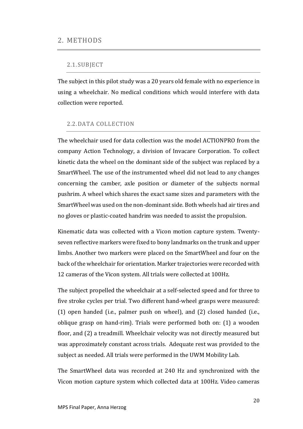## <span id="page-19-1"></span><span id="page-19-0"></span>2.1.SUBJECT

The subject in this pilot study was a 20 years old female with no experience in using a wheelchair. No medical conditions which would interfere with data collection were reported.

## <span id="page-19-2"></span>2.2.DATA COLLECTION

The wheelchair used for data collection was the model ACTIONPRO from the company Action Technology, a division of Invacare Corporation. To collect kinetic data the wheel on the dominant side of the subject was replaced by a SmartWheel. The use of the instrumented wheel did not lead to any changes concerning the camber, axle position or diameter of the subjects normal pushrim. A wheel which shares the exact same sizes and parameters with the SmartWheel was used on the non-dominant side. Both wheels had air tires and no gloves or plastic-coated handrim was needed to assist the propulsion.

Kinematic data was collected with a Vicon motion capture system. Twentyseven reflective markers were fixed to bony landmarks on the trunk and upper limbs. Another two markers were placed on the SmartWheel and four on the back of the wheelchair for orientation. Marker trajectories were recorded with 12 cameras of the Vicon system. All trials were collected at 100Hz.

The subject propelled the wheelchair at a self-selected speed and for three to five stroke cycles per trial. Two different hand-wheel grasps were measured: (1) open handed (i.e., palmer push on wheel), and (2) closed handed (i.e., oblique grasp on hand-rim). Trials were performed both on: (1) a wooden floor, and (2) a treadmill. Wheelchair velocity was not directly measured but was approximately constant across trials. Adequate rest was provided to the subject as needed. All trials were performed in the UWM Mobility Lab.

The SmartWheel data was recorded at 240 Hz and synchronized with the Vicon motion capture system which collected data at 100Hz. Video cameras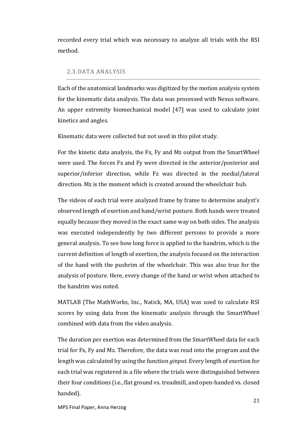recorded every trial which was necessary to analyze all trials with the RSI method.

## <span id="page-20-0"></span>2.3.DATA ANALYSIS

Each of the anatomical landmarks was digitized by the motion analysis system for the kinematic data analysis. The data was processed with Nexus software. An upper extremity biomechanical model [47] was used to calculate joint kinetics and angles.

Kinematic data were collected but not used in this pilot study.

For the kinetic data analysis, the Fx, Fy and Mz output from the SmartWheel were used. The forces Fx and Fy were directed in the anterior/posterior and superior/inferior direction, while Fz was directed in the medial/lateral direction. Mz is the moment which is created around the wheelchair hub.

The videos of each trial were analyzed frame by frame to determine analyst's observed length of exertion and hand/wrist posture. Both hands were treated equally because they moved in the exact same way on both sides. The analysis was executed independently by two different persons to provide a more general analysis. To see how long force is applied to the handrim, which is the current definition of length of exertion, the analysis focused on the interaction of the hand with the pushrim of the wheelchair. This was also true for the analysis of posture. Here, every change of the hand or wrist when attached to the handrim was noted.

MATLAB (The MathWorks, Inc., Natick, MA, USA) was used to calculate RSI scores by using data from the kinematic analysis through the SmartWheel combined with data from the video analysis.

The duration per exertion was determined from the SmartWheel data for each trial for Fx, Fy and Mz. Therefore, the data was read into the program and the length was calculated by using the function *ginput*. Every length of exertion for each trial was registered in a file where the trials were distinguished between their four conditions (i.e., flat ground vs. treadmill, and open-handed vs. closed handed).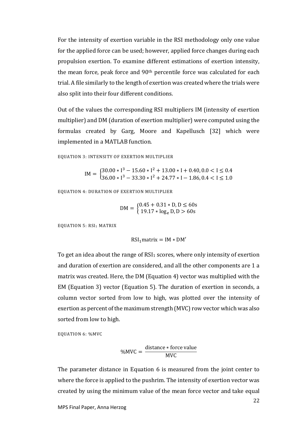For the intensity of exertion variable in the RSI methodology only one value for the applied force can be used; however, applied force changes during each propulsion exertion. To examine different estimations of exertion intensity, the mean force, peak force and 90th percentile force was calculated for each trial. A file similarly to the length of exertion was created where the trials were also split into their four different conditions.

Out of the values the corresponding RSI multipliers IM (intensity of exertion multiplier) and DM (duration of exertion multiplier) were computed using the formulas created by Garg, Moore and Kapellusch [32] which were implemented in a MATLAB function.

<span id="page-21-1"></span>EQUATION 3: INTENSITY OF EXERTION MULTIPLIER

 $IM = \begin{cases} 30.00 * 1^3 - 15.60 * 1^2 + 13.00 * 1 + 0.40, 0.0 < 1 \le 0.4 \\ 25.00 * 1^3 - 33.20 * 1^2 + 24.77 * 1 + 1.06, 0.4 < 1.5 \le 1.0 \end{cases}$  $36.00 * I^3 - 33.30 * I^2 + 24.77 * I - 1.86, 0.4 < I \le 1.0$ 

<span id="page-21-0"></span>EQUATION 4: DURATION OF EXERTION MULTIPLIER

$$
DM = \begin{cases} 0.45 + 0.31 * D, D \le 60s \\ 19.17 * log_e D, D > 60s \end{cases}
$$

<span id="page-21-2"></span>EQUATION 5: RSI<sub>1</sub> MATRIX

 $RSI<sub>1</sub>$  matrix = IM  $*$  DM'

To get an idea about the range of  $RSI<sub>1</sub>$  scores, where only intensity of exertion and duration of exertion are considered, and all the other components are 1 a matrix was created. Here, the DM [\(Equation 4\)](#page-21-0) vector was multiplied with the EM [\(Equation 3\)](#page-21-1) vector [\(Equation 5\)](#page-21-2). The duration of exertion in seconds, a column vector sorted from low to high, was plotted over the intensity of exertion as percent of the maximum strength (MVC) row vector which was also sorted from low to high.

<span id="page-21-3"></span>EQUATION 6: %MVC

$$
\%MVC = \frac{distance * force value}{MVC}
$$

The parameter distance in [Equation 6](#page-21-3) is measured from the joint center to where the force is applied to the pushrim. The intensity of exertion vector was created by using the minimum value of the mean force vector and take equal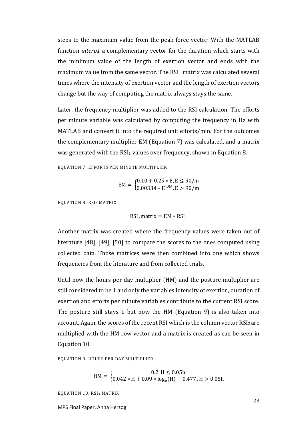steps to the maximum value from the peak force vector. With the MATLAB function *interp1* a complementary vector for the duration which starts with the minimum value of the length of exertion vector and ends with the maximum value from the same vector. The  $RSI<sub>1</sub>$  matrix was calculated several times where the intensity of exertion vector and the length of exertion vectors change but the way of computing the matrix always stays the same.

Later, the frequency multiplier was added to the RSI calculation. The efforts per minute variable was calculated by computing the frequency in Hz with MATLAB and convert it into the required unit efforts/min. For the outcomes the complementary multiplier EM [\(Equation 7\)](#page-22-0) was calculated, and a matrix was generated with the  $RSI<sub>1</sub>$  values over frequency, shown in [Equation 8.](#page-22-1)

<span id="page-22-0"></span>EQUATION 7: EFFORTS PER MINUTE MULTIPLIER

$$
EM = \begin{cases} 0.10 + 0.25 * E, E \le 90/m \\ 0.00334 * E^{1.96}, E > 90/m \end{cases}
$$

<span id="page-22-1"></span>EQUATION 8: RSI<sup>2</sup> MATRIX

$$
RSI2matrix = EM * RSI1
$$

Another matrix was created where the frequency values were taken out of literature [48], [49], [50] to compare the scores to the ones computed using collected data. Those matrices were then combined into one which shows frequencies from the literature and from collected trials.

Until now the hours per day multiplier (HM) and the posture multiplier are still considered to be 1 and only the variables intensity of exertion, duration of exertion and efforts per minute variables contribute to the current RSI score. The posture still stays 1 but now the HM [\(Equation 9\)](#page-22-2) is also taken into account. Again, the scores of the recent RSI which is the column vector RSI2 are multiplied with the HM row vector and a matrix is created as can be seen in [Equation 10.](#page-22-3)

<span id="page-22-2"></span>EQUATION 9: HOURS PER DAY MULTIPLIER

$$
HM = \begin{cases} 0.2, H \le 0.05h \\ 0.042 * H + 0.09 * log_e(H) + 0.477, H > 0.05h \end{cases}
$$

<span id="page-22-3"></span>EQUATION 10: RSI<sup>3</sup> MATRIX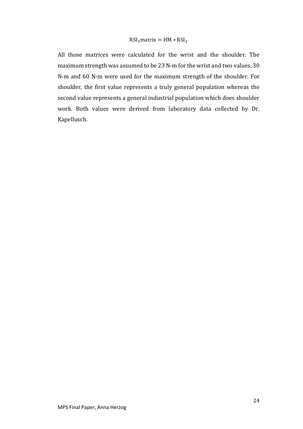$$
RSI3 matrix = HM * RSI2
$$

All those matrices were calculated for the wrist and the shoulder. The maximum strength was assumed to be 23 N-m for the wrist and two values, 30 N-m and 60 N-m were used for the maximum strength of the shoulder. For shoulder, the first value represents a truly general population whereas the second value represents a general industrial population which does shoulder work. Both values were derived from laboratory data collected by Dr. Kapellusch.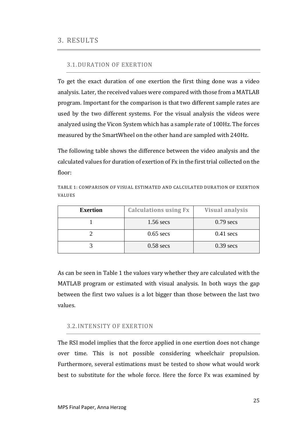## <span id="page-24-1"></span><span id="page-24-0"></span>3.1.DURATION OF EXERTION

To get the exact duration of one exertion the first thing done was a video analysis. Later, the received values were compared with those from a MATLAB program. Important for the comparison is that two different sample rates are used by the two different systems. For the visual analysis the videos were analyzed using the Vicon System which has a sample rate of 100Hz. The forces measured by the SmartWheel on the other hand are sampled with 240Hz.

The following table shows the difference between the video analysis and the calculated values for duration of exertion of Fx in the first trial collected on the floor:

<span id="page-24-3"></span>TABLE 1: COMPARISON OF VISUAL ESTIMATED AND CALCULATED DURATION OF EXERTION VALUES

| <b>Exertion</b> | <b>Calculations using Fx</b> | <b>Visual analysis</b> |  |  |  |  |
|-----------------|------------------------------|------------------------|--|--|--|--|
|                 | $1.56$ secs                  | $0.79$ secs            |  |  |  |  |
|                 | $0.65$ secs                  | $0.41$ secs            |  |  |  |  |
|                 | $0.58$ secs                  | $0.39$ secs            |  |  |  |  |

As can be seen i[n Table 1](#page-24-3) the values vary whether they are calculated with the MATLAB program or estimated with visual analysis. In both ways the gap between the first two values is a lot bigger than those between the last two values.

## <span id="page-24-2"></span>3.2.INTENSITY OF EXERTION

The RSI model implies that the force applied in one exertion does not change over time. This is not possible considering wheelchair propulsion. Furthermore, several estimations must be tested to show what would work best to substitute for the whole force. Here the force Fx was examined by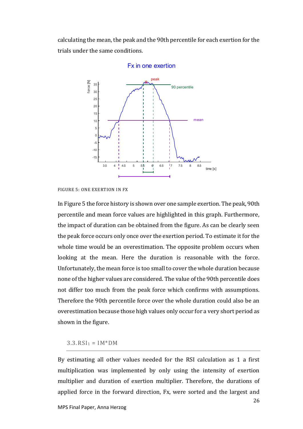calculating the mean, the peak and the 90th percentile for each exertion for the trials under the same conditions.



#### Ex in one exertion

<span id="page-25-1"></span>FIGURE 5: ONE EXERTION IN FX

In [Figure 5](#page-25-1) the force history is shown over one sample exertion. The peak, 90th percentile and mean force values are highlighted in this graph. Furthermore, the impact of duration can be obtained from the figure. As can be clearly seen the peak force occurs only once over the exertion period. To estimate it for the whole time would be an overestimation. The opposite problem occurs when looking at the mean. Here the duration is reasonable with the force. Unfortunately, the mean force is too small to cover the whole duration because none of the higher values are considered. The value of the 90th percentile does not differ too much from the peak force which confirms with assumptions. Therefore the 90th percentile force over the whole duration could also be an overestimation because those high values only occur for a very short period as shown in the figure.

#### <span id="page-25-0"></span> $3.3.RSI<sub>1</sub> = IM<sup>*</sup>DM$

By estimating all other values needed for the RSI calculation as 1 a first multiplication was implemented by only using the intensity of exertion multiplier and duration of exertion multiplier. Therefore, the durations of applied force in the forward direction, Fx, were sorted and the largest and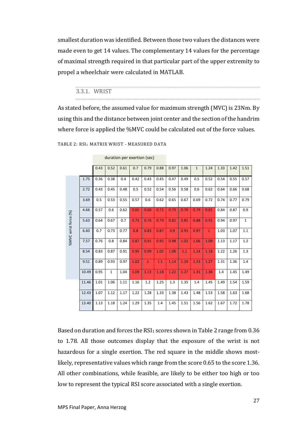smallest duration was identified. Between those two values the distances were made even to get 14 values. The complementary 14 values for the percentage of maximal strength required in that particular part of the upper extremity to propel a wheelchair were calculated in MATLAB.

## 3.3.1. WRIST

As stated before, the assumed value for maximum strength (MVC) is 23Nm. By using this and the distance between joint center and the section of the handrim where force is applied the %MVC could be calculated out of the force values.

|                      |       |      |              |      | duration per exertion (sec) |              |      |      |      |              |              |      |      |              |
|----------------------|-------|------|--------------|------|-----------------------------|--------------|------|------|------|--------------|--------------|------|------|--------------|
|                      |       | 0.43 | 0.52         | 0.61 | 0.7                         | 0.79         | 0.88 | 0.97 | 1.06 | $\mathbf{1}$ | 1.24         | 1.33 | 1.42 | 1.51         |
|                      | 1.75  | 0.36 | 0.38         | 0.4  | 0.42                        | 0.43         | 0.45 | 0.47 | 0.49 | 0.5          | 0.52         | 0.54 | 0.55 | 0.57         |
|                      | 2.72  | 0.43 | 0.45         | 0.48 | 0.5                         | 0.52         | 0.54 | 0.56 | 0.58 | 0.6          | 0.62         | 0.64 | 0.66 | 0.68         |
|                      | 3.69  | 0.5  | 0.53         | 0.55 | 0.57                        | 0.6          | 0.62 | 0.65 | 0.67 | 0.69         | 0.72         | 0.74 | 0.77 | 0.79         |
|                      | 4.66  | 0.57 | 0.6          | 0.62 | 0.65                        | 0.68         | 0.71 | 0.73 | 0.76 | 0.79         | 0.81         | 0.84 | 0.87 | 0.9          |
|                      | 5.63  | 0.64 | 0.67         | 0.7  | 0.73                        | 0.76         | 0.79 | 0.82 | 0.85 | 0.88         | 0.91         | 0.94 | 0.97 | $\mathbf{1}$ |
| %MVC wrist force (%) | 6.60  | 0.7  | 0.73         | 0.77 | 0.8                         | 0.83         | 0.87 | 0.9  | 0.93 | 0.97         | $\mathbf{1}$ | 1.03 | 1.07 | 1.1          |
|                      | 7.57  | 0.76 | 0.8          | 0.84 | 0.87                        | 0.91         | 0.95 | 0.98 | 1.02 | 1.06         | 1.09         | 1.13 | 1.17 | 1.2          |
|                      | 8.54  | 0.83 | 0.87         | 0.91 | 0.95                        | 0.99         | 1.02 | 1.06 | 1.1  | 1.14         | 1.18         | 1.22 | 1.26 | 1.3          |
|                      | 9.51  | 0.89 | 0.93         | 0.97 | 1.02                        | $\mathbf{1}$ | 1.1  | 1.14 | 1.19 | 1.23         | 1.27         | 1.31 | 1.36 | 1.4          |
|                      | 10.49 | 0.95 | $\mathbf{1}$ | 1.04 | 1.09                        | 1.13         | 1.18 | 1.22 | 1.27 | 1.31         | 1.36         | 1.4  | 1.45 | 1.49         |
|                      | 11.46 | 1.01 | 1.06         | 1.11 | 1.16                        | 1.2          | 1.25 | 1.3  | 1.35 | 1.4          | 1.45         | 1.49 | 1.54 | 1.59         |
|                      | 12.43 | 1.07 | 1.12         | 1.17 | 1.22                        | 1.28         | 1.33 | 1.38 | 1.43 | 1.48         | 1.53         | 1.58 | 1.63 | 1.68         |
|                      | 13.40 | 1.13 | 1.18         | 1.24 | 1.29                        | 1.35         | 1.4  | 1.45 | 1.51 | 1.56         | 1.62         | 1.67 | 1.72 | 1.78         |

### <span id="page-26-0"></span>TABLE 2: RSI<sub>1</sub> MATRIX WRIST - MEASURED DATA

Based on duration and forces the RSI<sub>1</sub> scores shown i[n Table 2](#page-26-0) range from 0.36 to 1.78. All those outcomes display that the exposure of the wrist is not hazardous for a single exertion. The red square in the middle shows mostlikely, representative values which range from the score 0.65 to the score 1.36. All other combinations, while feasible, are likely to be either too high or too low to represent the typical RSI score associated with a single exertion.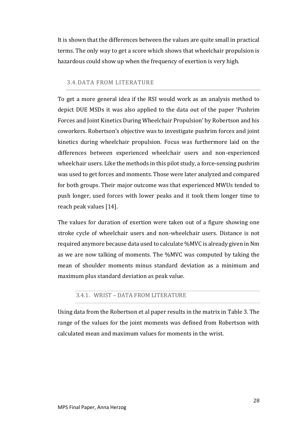It is shown that the differences between the values are quite small in practical terms. The only way to get a score which shows that wheelchair propulsion is hazardous could show up when the frequency of exertion is very high.

## <span id="page-27-0"></span>3.4.DATA FROM LITERATURE

To get a more general idea if the RSI would work as an analysis method to depict DUE MSDs it was also applied to the data out of the paper 'Pushrim Forces and Joint Kinetics During Wheelchair Propulsion' by Robertson and his coworkers. Robertson's objective was to investigate pushrim forces and joint kinetics during wheelchair propulsion. Focus was furthermore laid on the differences between experienced wheelchair users and non-experienced wheelchair users. Like the methods in this pilot study, a force-sensing pushrim was used to get forces and moments. Those were later analyzed and compared for both groups. Their major outcome was that experienced MWUs tended to push longer, used forces with lower peaks and it took them longer time to reach peak values [14].

The values for duration of exertion were taken out of a figure showing one stroke cycle of wheelchair users and non-wheelchair users. Distance is not required anymore because data used to calculate %MVC is already given in Nm as we are now talking of moments. The %MVC was computed by taking the mean of shoulder moments minus standard deviation as a minimum and maximum plus standard deviation as peak value.

## <span id="page-27-1"></span>3.4.1. WRIST – DATA FROM LITERATURE

Using data from the Robertson et al paper results in the matrix in [Table 3.](#page-28-0) The range of the values for the joint moments was defined from Robertson with calculated mean and maximum values for moments in the wrist.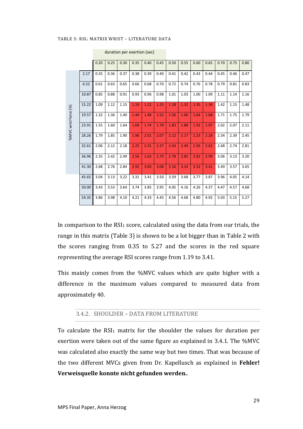#### <span id="page-28-0"></span>TABLE 3: RSI<sub>1</sub> MATRIX WRIST - LITERATURE DATA

|       | 0.20 | 0.25 | 0.30 | 0.35 | 0.40 | 0.45 | 0.50 | 0.55 | 0.60 | 0.65 | 0.70 | 0.75 | 0.80 |
|-------|------|------|------|------|------|------|------|------|------|------|------|------|------|
| 2.17  | 0.35 | 0.36 | 0.37 | 0.38 | 0.39 | 0.40 | 0.41 | 0.42 | 0.43 | 0.44 | 0.45 | 0.46 | 0.47 |
| 6.52  | 0.61 | 0.63 | 0.65 | 0.66 | 0.68 | 0.70 | 0.72 | 0.74 | 0.76 | 0.78 | 0.79 | 0.81 | 0.83 |
| 10.87 | 0.85 | 0.88 | 0.91 | 0.93 | 0.96 | 0.98 | 1.01 | 1.03 | 1.00 | 1.09 | 1.11 | 1.14 | 1.16 |
| 15.22 | 1.09 | 1.12 | 1.15 | 1.19 | 1.22 | 1.25 | 1.28 | 1.32 | 1.35 | 1.38 | 1.42 | 1.15 | 1.48 |
| 19.57 | 1.32 | 1.36 | 1.40 | 1.44 | 1.48 | 1.52 | 1.56 | 1.60 | 1.64 | 1.68 | 1.71 | 1.75 | 1.79 |
| 23.91 | 1.55 | 1.60 | 1.64 | 1.69 | 1.74 | 1.78 | 1.83 | 1.88 | 1.93 | 1.97 | 2.02 | 2.07 | 2.11 |
| 28.26 | 1.79 | 1.85 | 1.90 | 1.96 | 2.01 | 2.07 | 2.12 | 2.17 | 2.23 | 2.28 | 2.34 | 2.39 | 2.45 |
| 32.61 | 2.06 | 2.12 | 2.18 | 2.25 | 2.31 | 2.37 | 2.43 | 2.49 | 2.56 | 2.62 | 2.68 | 2.74 | 2.81 |
| 36.96 | 2.35 | 2.42 | 2.49 | 2.56 | 2.63 | 2.70 | 2.78 | 2.85 | 2.92 | 2.99 | 3.06 | 3.13 | 3.20 |
| 41.30 | 2.68 | 2.76 | 2.84 | 2.92 | 3.00 | 3.08 | 3.16 | 3.24 | 3.32 | 3.41 | 3.49 | 3.57 | 3.65 |
| 45.65 | 3.04 | 3.13 | 3.22 | 3.31 | 3.41 | 3.50 | 3.59 | 3.68 | 3.77 | 3.87 | 3.96 | 4.05 | 4.14 |
| 50.00 | 3.43 | 3.53 | 3.64 | 3.74 | 3.85 | 3.95 | 4.05 | 4.16 | 4.26 | 4.37 | 4.47 | 4.57 | 4.68 |
| 54.35 | 3.86 | 3.98 | 4.10 | 4.21 | 4.33 | 4.45 | 4.56 | 4.68 | 4.80 | 4.92 | 5.03 | 5.15 | 5.27 |
|       |      |      |      |      |      |      |      |      |      |      |      |      |      |

duration per exertion (sec)

In comparison to the  $RSI_1$  score, calculated using the data from our trials, the range in this matrix [\(Table 3\)](#page-28-0) is shown to be a lot bigger than in [Table 2](#page-26-0) with the scores ranging from 0.35 to 5.27 and the scores in the red square representing the average RSI scores range from 1.19 to 3.41.

This mainly comes from the %MVC values which are quite higher with a difference in the maximum values compared to measured data from approximately 40.

#### 3.4.2. SHOULDER – DATA FROM LITERATURE

To calculate the RSI<sub>1</sub> matrix for the shoulder the values for duration per exertion were taken out of the same figure as explained in [3.4.1.](#page-27-1) The %MVC was calculated also exactly the same way but two times. That was because of the two different MVCs given from Dr. Kapellusch as explained in **Fehler! Verweisquelle konnte nicht gefunden werden.**.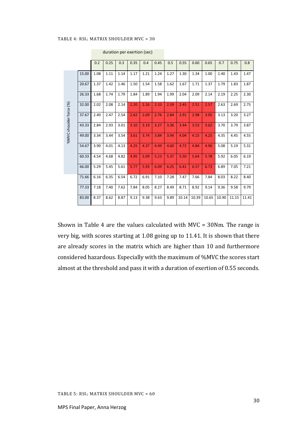#### <span id="page-29-0"></span>TABLE 4: RSI<sub>1</sub> MATRIX SHOULDER MVC = 30

|                         |       | 0.2  | 0.25 | 0.3  | 0.35 | 0.4  | 0.45 | 0.5  | 0.55  | 0.60  | 0.65  | 0.7   | 0.75  | 0.8   |
|-------------------------|-------|------|------|------|------|------|------|------|-------|-------|-------|-------|-------|-------|
|                         | 15.00 | 1.08 | 1.11 | 1.14 | 1.17 | 1.21 | 1.24 | 1.27 | 1.30  | 1.34  | 1.00  | 1.40  | 1.43  | 1.47  |
|                         | 20.67 | 1.37 | 1.42 | 1.46 | 1.50 | 1.54 | 1.58 | 1.62 | 1.67  | 1.71  | 1.37  | 1.79  | 1.83  | 1.87  |
|                         | 26.33 | 1.68 | 1.74 | 1.79 | 1.84 | 1.89 | 1.94 | 1.99 | 2.04  | 2.09  | 2.14  | 2.19  | 2.25  | 2.30  |
| %MVC shoulder force (%) | 32.00 | 2.02 | 2.08 | 2.14 | 2.20 | 2.26 | 2.33 | 2.39 | 2.45  | 2.51  | 2.57  | 2.63  | 2.69  | 2.75  |
|                         | 37.67 | 2.40 | 2.47 | 2.54 | 2.62 | 2.69 | 2.76 | 2.84 | 2.91  | 2.98  | 3.05  | 3.13  | 3.20  | 3.27  |
|                         | 43.33 | 2.84 | 2.93 | 3.01 | 3.10 | 3.19 | 3.27 | 3.36 | 3.44  | 3.53  | 3.62  | 3.70  | 3.79  | 3.87  |
|                         | 49.00 | 3.34 | 3.44 | 3.54 | 3.61 | 3.74 | 3.84 | 3.94 | 4.04  | 4.15  | 4.25  | 4.35  | 4.45  | 4.55  |
|                         | 54.67 | 3.90 | 4.01 | 4.13 | 4.25 | 4.37 | 4.49 | 4.60 | 4.72  | 4.84  | 4.96  | 5.08  | 5.19  | 5.31  |
|                         | 60.33 | 4.54 | 4.68 | 4.82 | 4.95 | 5.09 | 5.23 | 5.37 | 5.50  | 5.64  | 5.78  | 5.92  | 6.05  | 6.19  |
|                         | 66.00 | 5.29 | 5.45 | 5.61 | 5.77 | 5.93 | 6.09 | 6.25 | 6.41  | 6.57  | 6.73  | 6.89  | 7.05  | 7.21  |
|                         | 71.66 | 6.16 | 6.35 | 6.54 | 6.72 | 6.91 | 7.10 | 7.28 | 7.47  | 7.66  | 7.84  | 8.03  | 8.22  | 8.40  |
|                         | 77.33 | 7.18 | 7.40 | 7.62 | 7.84 | 8.05 | 8.27 | 8.49 | 8.71  | 8.92  | 9.14  | 9.36  | 9.58  | 9.79  |
|                         | 83.00 | 8.37 | 8.62 | 8.87 | 9.13 | 9.38 | 9.63 | 9.89 | 10.14 | 10.39 | 10.65 | 10.90 | 11.15 | 11.41 |
|                         |       |      |      |      |      |      |      |      |       |       |       |       |       |       |

duration per exertion (sec)

<span id="page-29-1"></span>Shown in [Table 4](#page-29-0) are the values calculated with MVC = 30Nm. The range is very big, with scores starting at 1.08 going up to 11.41. It is shown that there are already scores in the matrix which are higher than 10 and furthermore considered hazardous. Especially with the maximum of %MVC the scores start almost at the threshold and pass it with a duration of exertion of 0.55 seconds.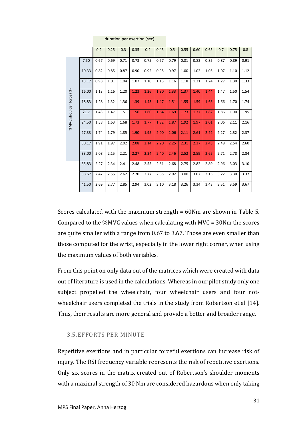|                         |       | 0.2  | 0.25 | 0.3  | 0.35 | 0.4  | 0.45 | 0.5  | 0.55 | 0.60 | 0.65 | 0.7  | 0.75 | 0.8  |
|-------------------------|-------|------|------|------|------|------|------|------|------|------|------|------|------|------|
|                         | 7.50  | 0.67 | 0.69 | 0.71 | 0.73 | 0.75 | 0.77 | 0.79 | 0.81 | 0.83 | 0.85 | 0.87 | 0.89 | 0.91 |
|                         | 10.33 | 0.82 | 0.85 | 0.87 | 0.90 | 0.92 | 0.95 | 0.97 | 1.00 | 1.02 | 1.05 | 1.07 | 1.10 | 1.12 |
|                         | 13.17 | 0.98 | 1.01 | 1.04 | 1.07 | 1.10 | 1.13 | 1.16 | 1.18 | 1.21 | 1.24 | 1.27 | 1.30 | 1.33 |
|                         | 16.00 | 1.13 | 1.16 | 1.20 | 1.23 | 1.26 | 1.30 | 1.33 | 1.37 | 1.40 | 1.44 | 1.47 | 1.50 | 1.54 |
| %MVC shoulder force (%) | 18.83 | 1.28 | 1.32 | 1.36 | 1.39 | 1.43 | 1.47 | 1.51 | 1.55 | 1.59 | 1.63 | 1.66 | 1.70 | 1.74 |
|                         | 21.7  | 1.43 | 1.47 | 1.51 | 1.56 | 1.60 | 1.64 | 1.69 | 1.73 | 1.77 | 1.82 | 1.86 | 1.90 | 1.95 |
|                         | 24.50 | 1.58 | 1.63 | 1.68 | 1.73 | 1.77 | 1.82 | 1.87 | 1.92 | 1.97 | 2.01 | 2.06 | 2.11 | 2.16 |
|                         | 27.33 | 1.74 | 1.79 | 1.85 | 1.90 | 1.95 | 2.00 | 2.06 | 2.11 | 2.61 | 2.22 | 2.27 | 2.32 | 2.37 |
|                         | 30.17 | 1.91 | 1.97 | 2.02 | 2.08 | 2.14 | 2.20 | 2.25 | 2.31 | 2.37 | 2.43 | 2.48 | 2.54 | 2.60 |
|                         | 33.00 | 2.08 | 2.15 | 2.21 | 2.27 | 2.34 | 2.40 | 2.46 | 2.52 | 2.59 | 2.65 | 2.71 | 2.78 | 2.84 |
|                         | 35.83 | 2.27 | 2.34 | 2.41 | 2.48 | 2.55 | 2.61 | 2.68 | 2.75 | 2.82 | 2.89 | 2.96 | 3.03 | 3.10 |
|                         | 38.67 | 2.47 | 2.55 | 2.62 | 2.70 | 2.77 | 2.85 | 2.92 | 3.00 | 3.07 | 3.15 | 3.22 | 3.30 | 3.37 |
|                         | 41.50 | 2.69 | 2.77 | 2.85 | 2.94 | 3.02 | 3.10 | 3.18 | 3.26 | 3.34 | 3.43 | 3.51 | 3.59 | 3.67 |

duration per exertion (sec)

Scores calculated with the maximum strength = 60Nm are shown in [Table 5.](#page-29-1) Compared to the %MVC values when calculating with MVC = 30Nm the scores are quite smaller with a range from 0.67 to 3.67. Those are even smaller than those computed for the wrist, especially in the lower right corner, when using the maximum values of both variables.

From this point on only data out of the matrices which were created with data out of literature is used in the calculations. Whereas in our pilot study only one subject propelled the wheelchair, four wheelchair users and four notwheelchair users completed the trials in the study from Robertson et al [14]. Thus, their results are more general and provide a better and broader range.

#### <span id="page-30-0"></span>3.5.EFFORTS PER MINUTE

Repetitive exertions and in particular forceful exertions can increase risk of injury. The RSI frequency variable represents the risk of repetitive exertions. Only six scores in the matrix created out of Robertson's shoulder moments with a maximal strength of 30 Nm are considered hazardous when only taking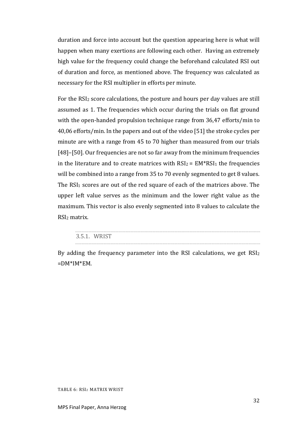duration and force into account but the question appearing here is what will happen when many exertions are following each other. Having an extremely high value for the frequency could change the beforehand calculated RSI out of duration and force, as mentioned above. The frequency was calculated as necessary for the RSI multiplier in efforts per minute.

For the RSI<sup>2</sup> score calculations, the posture and hours per day values are still assumed as 1. The frequencies which occur during the trials on flat ground with the open-handed propulsion technique range from 36,47 efforts/min to 40,06 efforts/min. In the papers and out of the video [51] the stroke cycles per minute are with a range from 45 to 70 higher than measured from our trials [48]–[50]. Our frequencies are not so far away from the minimum frequencies in the literature and to create matrices with  $RSI_2 = EM^*RSI_1$  the frequencies will be combined into a range from 35 to 70 evenly segmented to get 8 values. The RSI<sub>1</sub> scores are out of the red square of each of the matrices above. The upper left value serves as the minimum and the lower right value as the maximum. This vector is also evenly segmented into 8 values to calculate the RSI<sup>2</sup> matrix.

| <b>MRICT</b><br>25.<br>$\sim$ |
|-------------------------------|
|                               |

<span id="page-31-0"></span>By adding the frequency parameter into the RSI calculations, we get RSI<sup>2</sup>  $=$ DM\*IM\*EM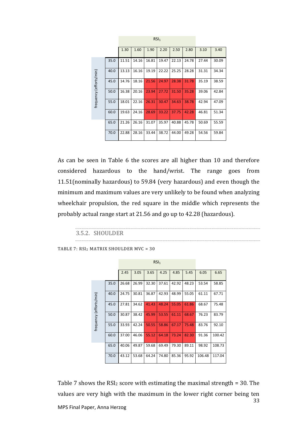|                         |      | 1.30  | 1.60  | 1.90  | 2.20  | 2.50  | 2.80  | 3.10  | 3.40  |
|-------------------------|------|-------|-------|-------|-------|-------|-------|-------|-------|
|                         | 35.0 | 11.51 | 14.16 | 16.81 | 19.47 | 22.13 | 24.78 | 27.44 | 30.09 |
| frequency (efforts/min) | 40.0 | 13.13 | 16.16 | 19.19 | 22.22 | 25.25 | 28.28 | 31.31 | 34.34 |
|                         | 45.0 | 14.76 | 18.16 | 21.56 | 24.97 | 28.38 | 31.78 | 35.19 | 38.59 |
|                         | 50.0 | 16.38 | 20.16 | 23.94 | 27.72 | 31.50 | 35.28 | 39.06 | 42.84 |
|                         | 55.0 | 18.01 | 22.16 | 26.31 | 30.47 | 34.63 | 38.78 | 42.94 | 47.09 |
|                         | 60.0 | 19.63 | 24.16 | 28.69 | 33.22 | 37.75 | 42.28 | 46.81 | 51.34 |
|                         | 65.0 | 21.26 | 26.16 | 31.07 | 35.97 | 40.88 | 45.78 | 50.69 | 55.59 |
|                         | 70.0 | 22.88 | 28.16 | 33.44 | 38.72 | 44.00 | 49.28 | 54.56 | 59.84 |

RSI<sub>1</sub> **RSI**<sub>1</sub>

As can be seen in [Table 6](#page-31-0) the scores are all higher than 10 and therefore considered hazardous to the hand/wrist. The range goes from 11.51(nominally hazardous) to 59.84 (very hazardous) and even though the minimum and maximum values are very unlikely to be found when analyzing wheelchair propulsion, the red square in the middle which represents the probably actual range start at 21.56 and go up to 42.28 (hazardous).

#### 3.5.2. SHOULDER

<span id="page-32-0"></span>TABLE 7: RSI<sup>2</sup> MATRIX SHOULDER MVC = 30

|                         |      | 2.45  | 3.05  | 3.65  | 4.25  | 4.85  | 5.45  | 6.05   | 6.65   |
|-------------------------|------|-------|-------|-------|-------|-------|-------|--------|--------|
|                         | 35.0 | 26.68 | 26.99 | 32.30 | 37.61 | 42.92 | 48.23 | 53.54  | 58.85  |
|                         | 40.0 | 24.75 | 30.81 | 36.87 | 42.93 | 48.99 | 55.05 | 61.11  | 67.71  |
| frequency (efforts/min) | 45.0 | 27.81 | 34.62 | 41.43 | 48.24 | 55.05 | 61.86 | 68.67  | 75.48  |
|                         | 50.0 | 30.87 | 38.42 | 45.99 | 53.55 | 61.11 | 68.67 | 76.23  | 83.79  |
|                         | 55.0 | 33.93 | 42.24 | 50.55 | 58.86 | 67.17 | 75.48 | 83.76  | 92.10  |
|                         | 60.0 | 37.00 | 46.06 | 55.12 | 64.18 | 73.24 | 82.30 | 91.36  | 100.42 |
|                         | 65.0 | 40.06 | 49.87 | 59.68 | 69.49 | 79.30 | 89.11 | 98.92  | 108.73 |
|                         | 70.0 | 43.12 | 53.68 | 64.24 | 74.80 | 85.36 | 95.92 | 106.48 | 117.04 |

33 MPS Final Paper, Anna Herzog [Table 7](#page-32-0) shows the  $RSI<sub>2</sub>$  score with estimating the maximal strength = 30. The values are very high with the maximum in the lower right corner being ten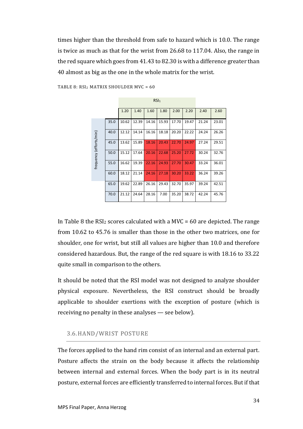times higher than the threshold from safe to hazard which is 10.0. The range is twice as much as that for the wrist from 26.68 to 117.04. Also, the range in the red square which goes from 41.43 to 82.30 is with a difference greater than 40 almost as big as the one in the whole matrix for the wrist.

<u>RSI</u>II (1989) **RSI** 

|                         |      | 1.20  | 1.40  | 1.60  | 1.80  | 2.00  | 2.20  | 2.40  | 2.60  |
|-------------------------|------|-------|-------|-------|-------|-------|-------|-------|-------|
|                         | 35.0 | 10.62 | 12.39 | 14.16 | 15.93 | 17.70 | 19.47 | 21.24 | 23.01 |
|                         | 40.0 | 12.12 | 14.14 | 16.16 | 18.18 | 20.20 | 22.22 | 24.24 | 26.26 |
| frequency (efforts/min) | 45.0 | 13.62 | 15.89 | 18.16 | 20.43 | 22.70 | 24.97 | 27.24 | 29.51 |
|                         | 50.0 | 15.12 | 17.64 | 20.16 | 22.68 | 25.20 | 27.72 | 30.24 | 32.76 |
|                         | 55.0 | 16.62 | 19.39 | 22.16 | 24.93 | 27.70 | 30.47 | 33.24 | 36.01 |
|                         | 60.0 | 18.12 | 21.14 | 24.16 | 27.18 | 30.20 | 33.22 | 36.24 | 39.26 |
|                         | 65.0 | 19.62 | 22.89 | 26.16 | 29.43 | 32.70 | 35.97 | 39.24 | 42.51 |
|                         | 70.0 | 21.12 | 24.64 | 28.16 | 7.00  | 35.20 | 38.72 | 42.24 | 45.76 |

<span id="page-33-1"></span>TABLE 8: RSI<sup>2</sup> MATRIX SHOULDER MVC = 60

In [Table 8](#page-33-1) the RSI<sub>2</sub> scores calculated with a MVC = 60 are depicted. The range from 10.62 to 45.76 is smaller than those in the other two matrices, one for shoulder, one for wrist, but still all values are higher than 10.0 and therefore considered hazardous. But, the range of the red square is with 18.16 to 33.22 quite small in comparison to the others.

It should be noted that the RSI model was not designed to analyze shoulder physical exposure. Nevertheless, the RSI construct should be broadly applicable to shoulder exertions with the exception of posture (which is receiving no penalty in these analyses — see below).

#### <span id="page-33-0"></span>3.6.HAND/WRIST POSTURE

The forces applied to the hand rim consist of an internal and an external part. Posture affects the strain on the body because it affects the relationship between internal and external forces. When the body part is in its neutral posture, external forces are efficiently transferred to internal forces. But if that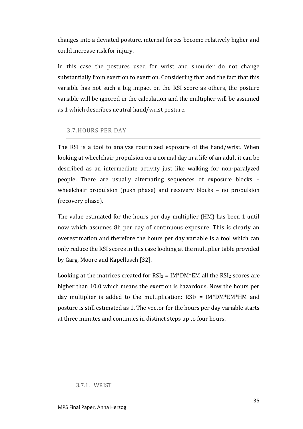changes into a deviated posture, internal forces become relatively higher and could increase risk for injury.

In this case the postures used for wrist and shoulder do not change substantially from exertion to exertion. Considering that and the fact that this variable has not such a big impact on the RSI score as others, the posture variable will be ignored in the calculation and the multiplier will be assumed as 1 which describes neutral hand/wrist posture.

## <span id="page-34-0"></span>3.7.HOURS PER DAY

The RSI is a tool to analyze routinized exposure of the hand/wrist. When looking at wheelchair propulsion on a normal day in a life of an adult it can be described as an intermediate activity just like walking for non-paralyzed people. There are usually alternating sequences of exposure blocks – wheelchair propulsion (push phase) and recovery blocks – no propulsion (recovery phase).

The value estimated for the hours per day multiplier (HM) has been 1 until now which assumes 8h per day of continuous exposure. This is clearly an overestimation and therefore the hours per day variable is a tool which can only reduce the RSI scores in this case looking at the multiplier table provided by Garg, Moore and Kapellusch [32].

Looking at the matrices created for  $RSI_2 = IM^*DM^*EM$  all the  $RSI_2$  scores are higher than 10.0 which means the exertion is hazardous. Now the hours per day multiplier is added to the multiplication:  $RSI_3 = IM*DM*EM*HM$  and posture is still estimated as 1. The vector for the hours per day variable starts at three minutes and continues in distinct steps up to four hours.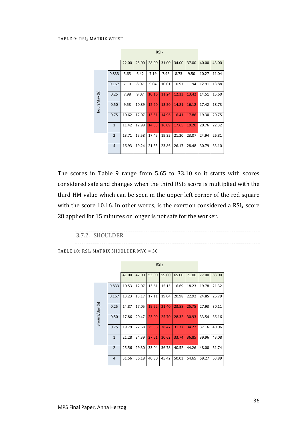<span id="page-35-0"></span>

|               |                | 22.00 | 25.00 | 28.00 | 31.00 | 34.00 | 37.00 | 40.00 | 43.00 |
|---------------|----------------|-------|-------|-------|-------|-------|-------|-------|-------|
|               | 0.833          | 5.65  | 6.42  | 7.19  | 7.96  | 8.73  | 9.50  | 10.27 | 11.04 |
| hours/day (h) | 0.167          | 7.10  | 8.07  | 9.04  | 10.01 | 10.97 | 11.94 | 12.91 | 13.88 |
|               | 0.25           | 7.98  | 9.07  | 10.16 | 11.24 | 12.33 | 13.42 | 14.51 | 15.60 |
|               | 0.50           | 9.58  | 10.89 | 12.20 | 13.50 | 14.81 | 16.12 | 17.42 | 18.73 |
|               | 0.75           | 10.62 | 12.07 | 13.51 | 14.96 | 16.41 | 17.86 | 19.30 | 20.75 |
|               | $\mathbf{1}$   | 11.42 | 12.98 | 14.53 | 16.09 | 17.65 | 19.20 | 20.76 | 22.32 |
|               | $\overline{2}$ | 13.71 | 15.58 | 17.45 | 19.32 | 21.20 | 23.07 | 24.94 | 26.81 |
|               | $\overline{4}$ | 16.93 | 19.24 | 21.55 | 23.86 | 26.17 | 28.48 | 30.79 | 33.10 |

The scores in [Table 9](#page-35-0) range from 5.65 to 33.10 so it starts with scores considered safe and changes when the third RSI<sup>2</sup> score is multiplied with the third HM value which can be seen in the upper left corner of the red square with the score 10.16. In other words, is the exertion considered a RSI<sup>2</sup> score 28 applied for 15 minutes or longer is not safe for the worker.

#### 3.7.2. SHOULDER

```
TABLE 10: RSI3 MATRIX SHOULDER MVC = 30
```

|                | RSI <sub>2</sub> |       |       |       |       |       |       |       |       |  |  |
|----------------|------------------|-------|-------|-------|-------|-------|-------|-------|-------|--|--|
|                |                  | 41.00 | 47.00 | 53.00 | 59.00 | 65.00 | 71.00 | 77.00 | 83.00 |  |  |
|                | 0.833            | 10.53 | 12.07 | 13.61 | 15.15 | 16.69 | 18.23 | 19.78 | 21.32 |  |  |
| 3hours/day (h) | 0.167            | 13.23 | 15.17 | 17.11 | 19.04 | 20.98 | 22.92 | 24.85 | 26.79 |  |  |
|                | 0.25             | 14.87 | 17.05 | 19.22 | 21.40 | 23.58 | 25.75 | 27.93 | 30.11 |  |  |
|                | 0.50             | 17.86 | 20.47 | 23.09 | 25.70 | 28.32 | 30.93 | 33.54 | 36.16 |  |  |
|                | 0.75             | 19.79 | 22.68 | 25.58 | 28.47 | 31.37 | 34.27 | 37.16 | 40.06 |  |  |
|                | $\mathbf{1}$     | 21.28 | 24.39 | 27.51 | 30.62 | 33.74 | 36.85 | 39.96 | 43.08 |  |  |
|                | $\overline{2}$   | 25.56 | 29.30 | 33.04 | 36.78 | 40.52 | 44.26 | 48.00 | 51.74 |  |  |
|                | $\overline{4}$   | 31.56 | 36.18 | 40.80 | 45.42 | 50.03 | 54.65 | 59.27 | 63.89 |  |  |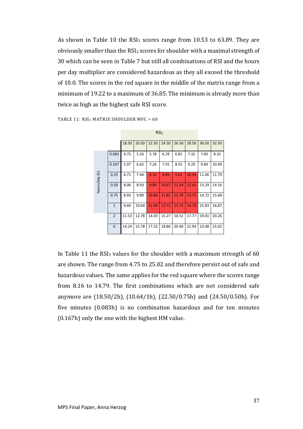As shown in [Table 10](#page-35-1) the RSI<sup>3</sup> scores range from 10.53 to 63.89. They are obviously smaller than the RSI<sup>2</sup> scores for shoulder with a maximal strength of 30 which can be seen in [Table 7](#page-32-0) but still all combinations of RSI and the hours per day multiplier are considered hazardous as they all exceed the threshold of 10.0. The scores in the red square in the middle of the matrix range from a minimum of 19.22 to a maximum of 36.85. The minimum is already more than twice as high as the highest safe RSI score.

|               |                | RSI <sub>2</sub> |       |       |       |       |       |       |       |
|---------------|----------------|------------------|-------|-------|-------|-------|-------|-------|-------|
|               |                | 18.50            | 20.50 | 22.50 | 24.50 | 26.50 | 28.50 | 30.50 | 32.50 |
| hours/day (h) | 0.083          | 4.75             | 5.26  | 5.78  | 6.29  | 6.81  | 7.32  | 7.83  | 8.35  |
|               | 0.167          | 5.97             | 6.62  | 7.26  | 7.91  | 8.55  | 9.20  | 9.84  | 10.49 |
|               | 0.25           | 6.71             | 7.44  | 8.16  | 8.89  | 9.61  | 10.34 | 11.06 | 11.79 |
|               | 0.50           | 8.06             | 8.93  | 9.80  | 10.67 | 11.54 | 12.42 | 13.29 | 14.16 |
|               | 0.75           | 8.93             | 9.89  | 10.86 | 11.82 | 12.79 | 13.75 | 14.72 | 15.68 |
|               | $\mathbf{1}$   | 9.60             | 10.64 | 11.68 | 12.72 | 13.75 | 14.79 | 15.83 | 16.87 |
|               | $\overline{2}$ | 11.53            | 12.78 | 14.03 | 15.27 | 16.52 | 17.77 | 19.01 | 20.26 |
|               | $\overline{4}$ | 14.24            | 15.78 | 17.32 | 18.86 | 20.40 | 21.94 | 23.48 | 25.02 |

RSI<sup>2</sup>

<span id="page-36-0"></span>TABLE 11: RSI<sup>3</sup> MATRIX SHOULDER MVC = 60

In [Table 11](#page-36-0) the RSI $_3$  values for the shoulder with a maximum strength of 60 are shown. The range from 4.75 to 25.02 and therefore persist out of safe and hazardous values. The same applies for the red square where the scores range from 8.16 to 14.79. The first combinations which are not considered safe anymore are (18.50/2h), (10.64/1h), (22.50/0.75h) and (24.50/0.50h). For five minutes (0.083h) is no combination hazardous and for ten minutes (0.167h) only the one with the highest HM value.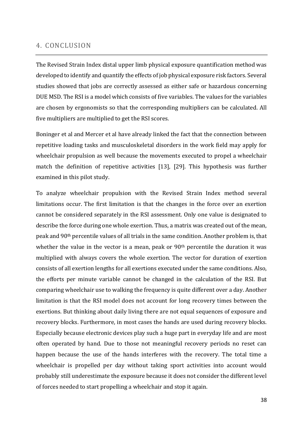## <span id="page-37-0"></span>4. CONCLUSION

The Revised Strain Index distal upper limb physical exposure quantification method was developed to identify and quantify the effects of job physical exposure risk factors. Several studies showed that jobs are correctly assessed as either safe or hazardous concerning DUE MSD. The RSI is a model which consists of five variables. The values for the variables are chosen by ergonomists so that the corresponding multipliers can be calculated. All five multipliers are multiplied to get the RSI scores.

Boninger et al and Mercer et al have already linked the fact that the connection between repetitive loading tasks and musculoskeletal disorders in the work field may apply for wheelchair propulsion as well because the movements executed to propel a wheelchair match the definition of repetitive activities [13], [29]. This hypothesis was further examined in this pilot study.

To analyze wheelchair propulsion with the Revised Strain Index method several limitations occur. The first limitation is that the changes in the force over an exertion cannot be considered separately in the RSI assessment. Only one value is designated to describe the force during one whole exertion. Thus, a matrix was created out of the mean, peak and 90th percentile values of all trials in the same condition. Another problem is, that whether the value in the vector is a mean, peak or 90<sup>th</sup> percentile the duration it was multiplied with always covers the whole exertion. The vector for duration of exertion consists of all exertion lengths for all exertions executed under the same conditions. Also, the efforts per minute variable cannot be changed in the calculation of the RSI. But comparing wheelchair use to walking the frequency is quite different over a day. Another limitation is that the RSI model does not account for long recovery times between the exertions. But thinking about daily living there are not equal sequences of exposure and recovery blocks. Furthermore, in most cases the hands are used during recovery blocks. Especially because electronic devices play such a huge part in everyday life and are most often operated by hand. Due to those not meaningful recovery periods no reset can happen because the use of the hands interferes with the recovery. The total time a wheelchair is propelled per day without taking sport activities into account would probably still underestimate the exposure because it does not consider the different level of forces needed to start propelling a wheelchair and stop it again.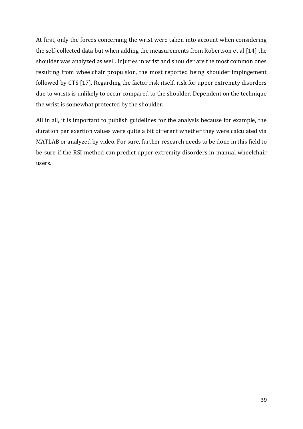At first, only the forces concerning the wrist were taken into account when considering the self-collected data but when adding the measurements from Robertson et al [14] the shoulder was analyzed as well. Injuries in wrist and shoulder are the most common ones resulting from wheelchair propulsion, the most reported being shoulder impingement followed by CTS [17]. Regarding the factor risk itself, risk for upper extremity disorders due to wrists is unlikely to occur compared to the shoulder. Dependent on the technique the wrist is somewhat protected by the shoulder.

All in all, it is important to publish guidelines for the analysis because for example, the duration per exertion values were quite a bit different whether they were calculated via MATLAB or analyzed by video. For sure, further research needs to be done in this field to be sure if the RSI method can predict upper extremity disorders in manual wheelchair users.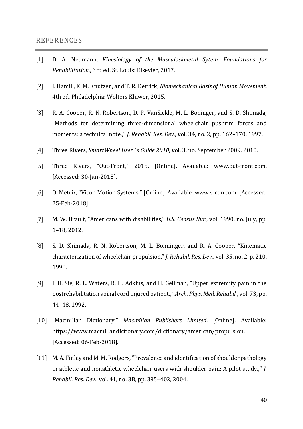#### <span id="page-39-0"></span>REFERENCES

- [1] D. A. Neumann, *Kinesiology of the Musculoskeletal Sytem. Foundations for Rehabilitation.*, 3rd ed. St. Louis: Elsevier, 2017.
- [2] J. Hamill, K. M. Knutzen, and T. R. Derrick, *Biomechanical Basis of Human Movement*, 4th ed. Philadelphia: Wolters Kluwer, 2015.
- [3] R. A. Cooper, R. N. Robertson, D. P. VanSickle, M. L. Boninger, and S. D. Shimada, "Methods for determining three-dimensional wheelchair pushrim forces and moments: a technical note.," *J. Rehabil. Res. Dev.*, vol. 34, no. 2, pp. 162–170, 1997.
- [4] Three Rivers, *SmartWheel User ' s Guide 2010*, vol. 3, no. September 2009. 2010.
- [5] Three Rivers, "Out-Front," 2015. [Online]. Available: www.out-front.com. [Accessed: 30-Jan-2018].
- [6] O. Metrix, "Vicon Motion Systems." [Online]. Available: www.vicon.com. [Accessed: 25-Feb-2018].
- [7] M. W. Brault, "Americans with disabilities," *U.S. Census Bur.*, vol. 1990, no. July, pp. 1–18, 2012.
- [8] S. D. Shimada, R. N. Robertson, M. L. Bonninger, and R. A. Cooper, "Kinematic characterization of wheelchair propulsion," *J. Rehabil. Res. Dev.*, vol. 35, no. 2, p. 210, 1998.
- [9] I. H. Sie, R. L. Waters, R. H. Adkins, and H. Gellman, "Upper extremity pain in the postrehabilitation spinal cord injured patient.," *Arch. Phys. Med. Rehabil.*, vol. 73, pp. 44–48, 1992.
- [10] "Macmillan Dictionary," *Macmillan Publishers Limited*. [Online]. Available: https://www.macmillandictionary.com/dictionary/american/propulsion. [Accessed: 06-Feb-2018].
- [11] M. A. Finley and M. M. Rodgers, "Prevalence and identification of shoulder pathology in athletic and nonathletic wheelchair users with shoulder pain: A pilot study.," *J. Rehabil. Res. Dev.*, vol. 41, no. 3B, pp. 395–402, 2004.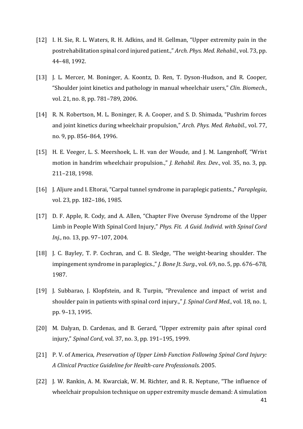- [12] I. H. Sie, R. L. Waters, R. H. Adkins, and H. Gellman, "Upper extremity pain in the postrehabilitation spinal cord injured patient.," *Arch. Phys. Med. Rehabil.*, vol. 73, pp. 44–48, 1992.
- [13] J. L. Mercer, M. Boninger, A. Koontz, D. Ren, T. Dyson-Hudson, and R. Cooper, "Shoulder joint kinetics and pathology in manual wheelchair users," *Clin. Biomech.*, vol. 21, no. 8, pp. 781–789, 2006.
- [14] R. N. Robertson, M. L. Boninger, R. A. Cooper, and S. D. Shimada, "Pushrim forces and joint kinetics during wheelchair propulsion," *Arch. Phys. Med. Rehabil.*, vol. 77, no. 9, pp. 856–864, 1996.
- [15] H. E. Veeger, L. S. Meershoek, L. H. van der Woude, and J. M. Langenhoff, "Wrist motion in handrim wheelchair propulsion.," *J. Rehabil. Res. Dev.*, vol. 35, no. 3, pp. 211–218, 1998.
- [16] J. Aljure and I. Eltorai, "Carpal tunnel syndrome in paraplegic patients.," *Paraplegia*, vol. 23, pp. 182–186, 1985.
- [17] D. F. Apple, R. Cody, and A. Allen, "Chapter Five Overuse Syndrome of the Upper Limb in People With Spinal Cord Injury," *Phys. Fit. A Guid. Individ. with Spinal Cord Inj.*, no. 13, pp. 97–107, 2004.
- [18] J. C. Bayley, T. P. Cochran, and C. B. Sledge, "The weight-bearing shoulder. The impingement syndrome in paraplegics.," *J. Bone Jt. Surg.*, vol. 69, no. 5, pp. 676–678, 1987.
- [19] J. Subbarao, J. Klopfstein, and R. Turpin, "Prevalence and impact of wrist and shoulder pain in patients with spinal cord injury.," *J. Spinal Cord Med.*, vol. 18, no. 1, pp. 9–13, 1995.
- [20] M. Dalyan, D. Cardenas, and B. Gerard, "Upper extremity pain after spinal cord injury," *Spinal Cord*, vol. 37, no. 3, pp. 191–195, 1999.
- [21] P. V. of America, *Preservation of Upper Limb Function Following Spinal Cord Injury: A Clinical Practice Guideline for Health-care Professionals*. 2005.
- [22] J. W. Rankin, A. M. Kwarciak, W. M. Richter, and R. R. Neptune, "The influence of wheelchair propulsion technique on upper extremity muscle demand: A simulation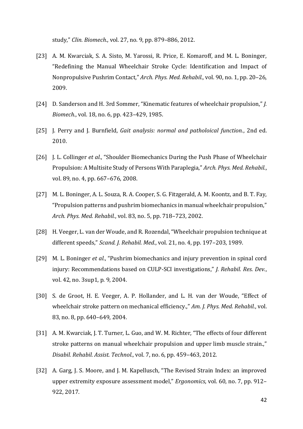study," *Clin. Biomech.*, vol. 27, no. 9, pp. 879–886, 2012.

- [23] A. M. Kwarciak, S. A. Sisto, M. Yarossi, R. Price, E. Komaroff, and M. L. Boninger, "Redefining the Manual Wheelchair Stroke Cycle: Identification and Impact of Nonpropulsive Pushrim Contact," *Arch. Phys. Med. Rehabil.*, vol. 90, no. 1, pp. 20–26, 2009.
- [24] D. Sanderson and H. 3rd Sommer, "Kinematic features of wheelchair propulsion," *J. Biomech.*, vol. 18, no. 6, pp. 423–429, 1985.
- [25] J. Perry and J. Burnfield, *Gait analysis: normal and patholoical function.*, 2nd ed. 2010.
- [26] J. L. Collinger *et al.*, "Shoulder Biomechanics During the Push Phase of Wheelchair Propulsion: A Multisite Study of Persons With Paraplegia," *Arch. Phys. Med. Rehabil.*, vol. 89, no. 4, pp. 667–676, 2008.
- [27] M. L. Boninger, A. L. Souza, R. A. Cooper, S. G. Fitzgerald, A. M. Koontz, and B. T. Fay, "Propulsion patterns and pushrim biomechanics in manual wheelchair propulsion," *Arch. Phys. Med. Rehabil.*, vol. 83, no. 5, pp. 718–723, 2002.
- [28] H. Veeger, L. van der Woude, and R. Rozendal, "Wheelchair propulsion technique at different speeds," *Scand. J. Rehabil. Med.*, vol. 21, no. 4, pp. 197–203, 1989.
- [29] M. L. Boninger *et al.*, "Pushrim biomechanics and injury prevention in spinal cord injury: Recommendations based on CULP-SCI investigations," *J. Rehabil. Res. Dev.*, vol. 42, no. 3sup1, p. 9, 2004.
- [30] S. de Groot, H. E. Veeger, A. P. Hollander, and L. H. van der Woude, "Effect of wheelchair stroke pattern on mechanical efficiency.," *Am. J. Phys. Med. Rehabil.*, vol. 83, no. 8, pp. 640–649, 2004.
- [31] A. M. Kwarciak, J. T. Turner, L. Guo, and W. M. Richter, "The effects of four different stroke patterns on manual wheelchair propulsion and upper limb muscle strain.," *Disabil. Rehabil. Assist. Technol.*, vol. 7, no. 6, pp. 459–463, 2012.
- [32] A. Garg, J. S. Moore, and J. M. Kapellusch, "The Revised Strain Index: an improved upper extremity exposure assessment model," *Ergonomics*, vol. 60, no. 7, pp. 912– 922, 2017.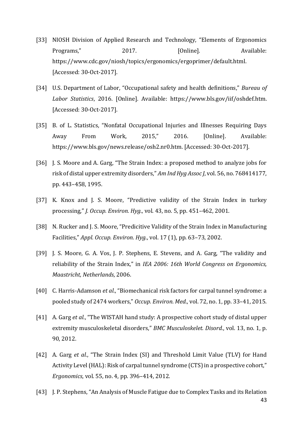- [33] NIOSH Division of Applied Research and Technology, "Elements of Ergonomics Programs," 2017. [Online]. Available: https://www.cdc.gov/niosh/topics/ergonomics/ergoprimer/default.html. [Accessed: 30-Oct-2017].
- [34] U.S. Department of Labor, "Occupational safety and health definitions," *Bureau of Labor Statistics*, 2016. [Online]. Available: https://www.bls.gov/iif/oshdef.htm. [Accessed: 30-Oct-2017].
- [35] B. of L. Statistics, "Nonfatal Occupational Injuries and Illnesses Requiring Days Away From Work, 2015," 2016. [Online]. Available: https://www.bls.gov/news.release/osh2.nr0.htm. [Accessed: 30-Oct-2017].
- [36] J. S. Moore and A. Garg, "The Strain Index: a proposed method to analyze jobs for risk of distal upper extremity disorders," *Am Ind Hyg Assoc J*, vol. 56, no. 768414177, pp. 443–458, 1995.
- [37] K. Knox and J. S. Moore, "Predictive validity of the Strain Index in turkey processing," *J. Occup. Environ. Hyg.*, vol. 43, no. 5, pp. 451–462, 2001.
- [38] N. Rucker and J. S. Moore, "Predicitive Validity of the Strain Index in Manufacturing Facilities," *Appl. Occup. Environ. Hyg.*, vol. 17 (1), pp. 63–73, 2002.
- [39] J. S. Moore, G. A. Vos, J. P. Stephens, E. Stevens, and A. Garg, "The validity and reliability of the Strain Index," in *IEA 2006: 16th World Congress on Ergonomics, Maastricht, Netherlands*, 2006.
- [40] C. Harris-Adamson *et al.*, "Biomechanical risk factors for carpal tunnel syndrome: a pooled study of 2474 workers," *Occup. Environ. Med.*, vol. 72, no. 1, pp. 33–41, 2015.
- [41] A. Garg *et al.*, "The WISTAH hand study: A prospective cohort study of distal upper extremity musculoskeletal disorders," *BMC Musculoskelet. Disord.*, vol. 13, no. 1, p. 90, 2012.
- [42] A. Garg *et al.*, "The Strain Index (SI) and Threshold Limit Value (TLV) for Hand Activity Level (HAL): Risk of carpal tunnel syndrome (CTS) in a prospective cohort," *Ergonomics*, vol. 55, no. 4, pp. 396–414, 2012.
- [43] J. P. Stephens, "An Analysis of Muscle Fatigue due to Complex Tasks and its Relation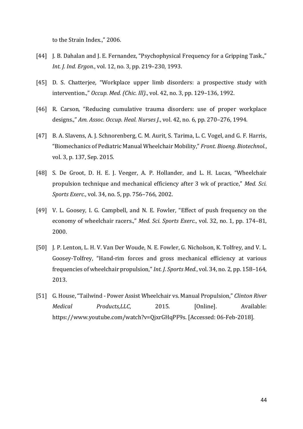to the Strain Index.," 2006.

- [44] J. B. Dahalan and J. E. Fernandez, "Psychophysical Frequency for a Gripping Task.," *Int. J. Ind. Ergon.*, vol. 12, no. 3, pp. 219–230, 1993.
- [45] D. S. Chatterjee, "Workplace upper limb disorders: a prospective study with intervention.," *Occup. Med. (Chic. Ill).*, vol. 42, no. 3, pp. 129–136, 1992.
- [46] R. Carson, "Reducing cumulative trauma disorders: use of proper workplace designs.," *Am. Assoc. Occup. Heal. Nurses J.*, vol. 42, no. 6, pp. 270–276, 1994.
- [47] B. A. Slavens, A. J. Schnorenberg, C. M. Aurit, S. Tarima, L. C. Vogel, and G. F. Harris, "Biomechanics of Pediatric Manual Wheelchair Mobility," *Front. Bioeng. Biotechnol.*, vol. 3, p. 137, Sep. 2015.
- [48] S. De Groot, D. H. E. J. Veeger, A. P. Hollander, and L. H. Lucas, "Wheelchair propulsion technique and mechanical efficiency after 3 wk of practice," *Med. Sci. Sports Exerc.*, vol. 34, no. 5, pp. 756–766, 2002.
- [49] V. L. Goosey, I. G. Campbell, and N. E. Fowler, "Effect of push frequency on the economy of wheelchair racers.," *Med. Sci. Sports Exerc.*, vol. 32, no. 1, pp. 174–81, 2000.
- [50] J. P. Lenton, L. H. V. Van Der Woude, N. E. Fowler, G. Nicholson, K. Tolfrey, and V. L. Goosey-Tolfrey, "Hand-rim forces and gross mechanical efficiency at various frequencies of wheelchair propulsion," *Int. J. Sports Med.*, vol. 34, no. 2, pp. 158–164, 2013.
- [51] G. House, "Tailwind Power Assist Wheelchair vs. Manual Propulsion," *Clinton River Medical Products,LLC*, 2015. [Online]. Available: https://www.youtube.com/watch?v=QjxrGHqPF9s. [Accessed: 06-Feb-2018].